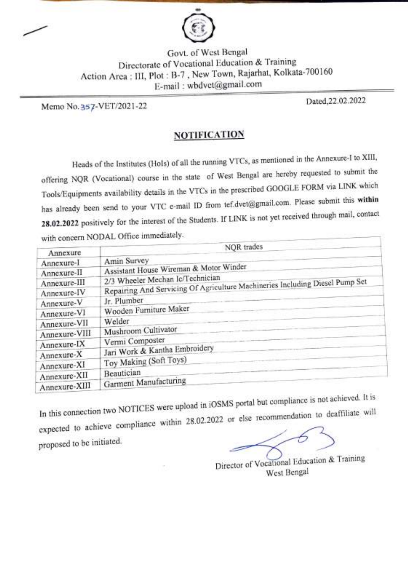

Govt. of West Bengal Directorate of Vocational Education & Training Action Arca : III, Plot: B-7, NewTown, Rajarhat, Kolkata-700160 E-mail : wbdvet@gmail.com

Memo No. 357-VET/2021-22 Dated,22.02.2022

### **NOTIFICATION**

Heads of the Institutes (Hols) of all the running VTCs, as mentioned in the Annexure-I to XIII, offering NQR (Vocational) course in the state of West Bengal are hereby requested to submit the Tools/Equipments availability details in the VTCs in the prescribed GOOGLE FORM via LINK which has already been send to your VTC e-mail ID from tef.dvet@gmail.com. Please submit this within 28.02.2022 positively for the interest of the Students. If LINK is not yet received through mail, contact with concern NODAL Office immediately.

| Annexure      | NQR trades                                                                   |
|---------------|------------------------------------------------------------------------------|
| Annexure-I    | Amin Survey                                                                  |
| Annexure-II   | Assistant House Wireman & Motor Winder                                       |
| Annexure-III  | 2/3 Wheeler Mechan Ic/Technician                                             |
| Annexure-IV   | Repairing And Servicing Of Agriculture Machineries Including Diesel Pump Set |
| Annexure-V    | Jr. Plumber                                                                  |
| Annexure-VI   | Wooden Furniture Maker                                                       |
| Annexure-VII  | Welder                                                                       |
| Annexure-VIII | Mushroom Cultivator                                                          |
| Annexure-IX   | Vermi Composter                                                              |
| Annexure-X    | Jari Work & Kantha Embroidery                                                |
| Annexure-XI   | Toy Making (Soft Toys)                                                       |
| Annexure-XII  | Beautician                                                                   |
| Annexure-XIII | Garment Manufacturing                                                        |

In this connection two NOTICES were upload in iOSMS portal but compliance is not achieved. It is expected to achieve compliance within 28.02.2022 or else recommendation to deaffiliate will proposed to be initiated.

Director of Vocational Education & Training West Bengal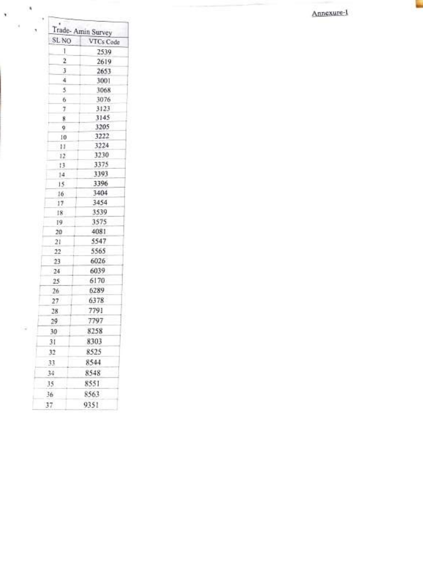Annexure-



 $\lambda$ 

 $\alpha$ 

 $\tilde{\mathcal{F}}$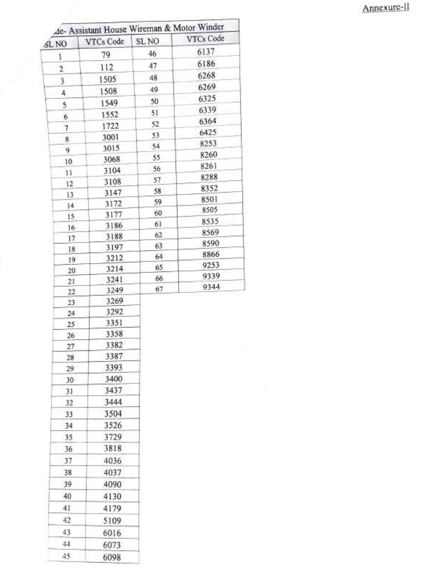## Annexure-II

| SL <sub>NO</sub>         | de- Assistant House Wireman & Motor Winder<br>VTCs Code | SL <sub>NO</sub> | VTCs Code |
|--------------------------|---------------------------------------------------------|------------------|-----------|
| 1                        | 79                                                      | 46               | 6137      |
| 2                        | 112                                                     | 47               | 6186      |
| 3                        | 1505                                                    | 48               | 6268      |
| 4                        | 1508                                                    | 49               | 6269      |
|                          | 1549                                                    | 50               | 6325      |
| 5                        | 1552                                                    | 51               | 6339      |
| 6                        | 1722                                                    | 52               | 6364      |
| $\overline{\phantom{a}}$ | 3001                                                    | 53               | 6425      |
| 8<br>9                   | 3015                                                    | 54               | 8253      |
|                          | 3068                                                    | 55               | 8260      |
| 10<br>11                 | 3104                                                    | 56               | 8261      |
|                          | 3108                                                    | 57               | 8288      |
| 12<br>13                 | 3147                                                    | 58               | 8352      |
| 14                       | 3172                                                    | 59               | 8501      |
| 15                       | 3177                                                    | 60               | 8505      |
| 16                       | 3186                                                    | 61               | 8535      |
| 17.                      | 3188                                                    | 62               | 8569      |
| 18                       | 3197                                                    | 63               | 8590      |
| 19                       | 3212                                                    | 64               | 8866      |
| 20                       | 3214                                                    | 65               | 9253      |
| 21                       | 3241                                                    | 66               | 9339      |
| 22                       | 3249                                                    | 67               | 9344      |
| 23                       | 3269                                                    |                  |           |
| 24                       | 3292                                                    |                  |           |
| 25                       | 3351                                                    |                  |           |
| 26                       | 3358                                                    |                  |           |
| 27                       | 3382                                                    |                  |           |
| 28                       | 3387                                                    |                  |           |
| 29                       | 3393                                                    |                  |           |
| 30                       | 3400                                                    |                  |           |
| 31                       | 3437                                                    |                  |           |
| 32                       | 3444                                                    |                  |           |
| 33                       | 3504                                                    |                  |           |
| 34                       | 3526                                                    |                  |           |
| 35                       | 3729                                                    |                  |           |
| 36                       | 3818                                                    |                  |           |
| 37                       | 4036                                                    |                  |           |
| 38                       | 4037                                                    |                  |           |
| 39                       | 4090                                                    |                  |           |
| 40                       | 4130                                                    |                  |           |
| 41                       | 4179                                                    |                  |           |
| 42                       | 5109                                                    |                  |           |
| 43                       | 6016                                                    |                  |           |
| 44                       | 6073                                                    |                  |           |
| 45                       | 6098                                                    |                  |           |
|                          |                                                         |                  |           |

Z,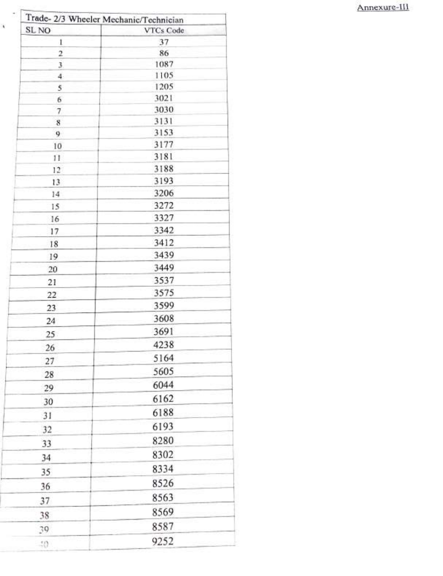### Annexure-III

| Trade- 2/3 Wheeler Mechanic/Technician<br>SL <sub>NO</sub> | VTCs Code |
|------------------------------------------------------------|-----------|
| $\mathbf{1}$                                               | 37        |
| $\overline{c}$                                             | 86        |
| 3                                                          | 1087      |
| 4                                                          | 1105      |
| 5                                                          | 1205      |
| 6                                                          | 3021      |
| 7                                                          | 3030      |
| $8\phantom{1}$                                             | 3131      |
| 9                                                          | 3153      |
| 10                                                         | 3177      |
| 11                                                         | 3181      |
| 12                                                         | 3188      |
| 13                                                         | 3193      |
| 14                                                         | 3206      |
| 15                                                         | 3272      |
| 16                                                         | 3327      |
| 17                                                         | 3342      |
| 18                                                         | 3412      |
| 19                                                         | 3439      |
| 20                                                         | 3449      |
| 21                                                         | 3537      |
| 22                                                         | 3575      |
| 23                                                         | 3599      |
| 24                                                         | 3608      |
|                                                            | 3691      |
| 25<br>26                                                   | 4238      |
|                                                            | 5164      |
| 27                                                         | 5605      |
| 28                                                         | 6044      |
| 29                                                         | 6162      |
| 30                                                         | 6188      |
| 31                                                         | 6193      |
| 32                                                         | 8280      |
| 33                                                         | 8302      |
| 34                                                         |           |
| 35                                                         | 8334      |
| 36                                                         | 8526      |
| 37                                                         | 8563      |
| 38                                                         | 8569      |
|                                                            |           |
| 39                                                         | 8587      |

X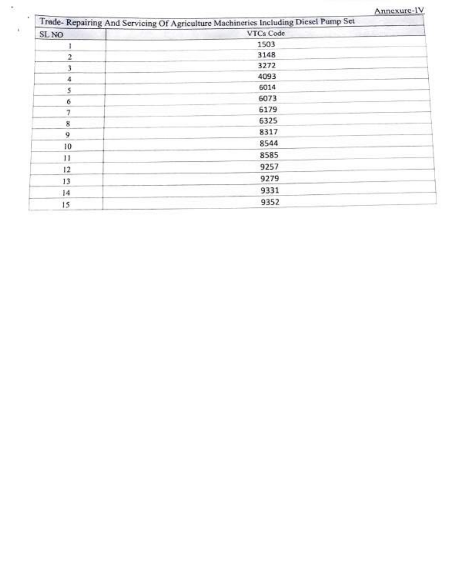|  |  | Annexure-IV |  |
|--|--|-------------|--|

|              | Trade-Repairing And Servicing Of Agriculture Machineries Including Diesel Pump Set |  |
|--------------|------------------------------------------------------------------------------------|--|
| SL NO        | VTCs Code                                                                          |  |
|              | 1503                                                                               |  |
| $\mathbf{2}$ | 3148                                                                               |  |
| 3            | 3272                                                                               |  |
| 4            | 4093                                                                               |  |
| 5            | 6014                                                                               |  |
| 6            | 6073                                                                               |  |
| 7            | 6179                                                                               |  |
| 8            | 6325                                                                               |  |
| 9            | 8317                                                                               |  |
| 10           | 8544                                                                               |  |
| 11           | 8585                                                                               |  |
| 12           | 9257                                                                               |  |
| 13           | 9279                                                                               |  |
| 4            | 9331                                                                               |  |
| 15           | 9352                                                                               |  |
|              |                                                                                    |  |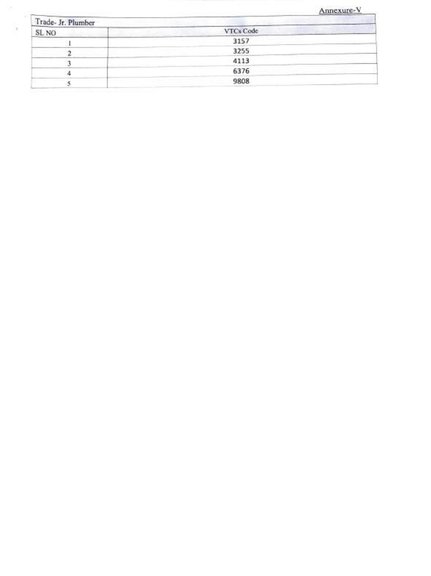## Annexure-V

| Trade- Jr. Plumber |           |  |
|--------------------|-----------|--|
| SL NO              | VTCs Code |  |
|                    | 3157      |  |
|                    | 3255      |  |
|                    | 4113      |  |
|                    | 6376      |  |
|                    | 9808      |  |
|                    |           |  |

 $\frac{1}{2}$ 

×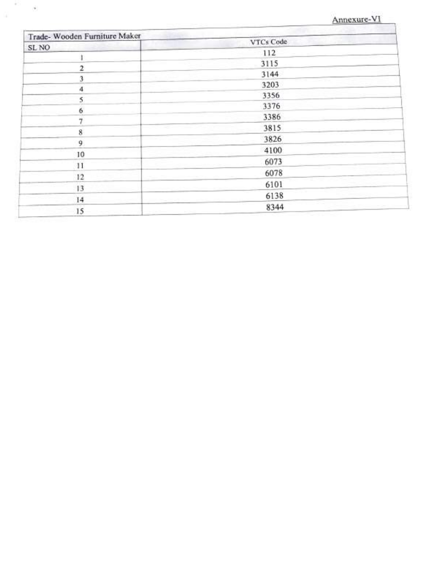### Annexure-V

| Trade- Wooden Furniture Maker |           |
|-------------------------------|-----------|
| SL NO                         | VTCs Code |
|                               | 112       |
| 2                             | 3115      |
|                               | 3144      |
| 4                             | 3203      |
| 5                             | 3356      |
|                               | 3376      |
|                               | 3386      |
| 8                             | 3815      |
| 9                             | 3826      |
| 10                            | 4100      |
| 11                            | 6073      |
|                               | 6078      |
| 12                            | 6101      |
| 13                            | 6138      |
| 14                            |           |
| 15                            | 8344      |

÷.

ú.

 $\mathcal{A}$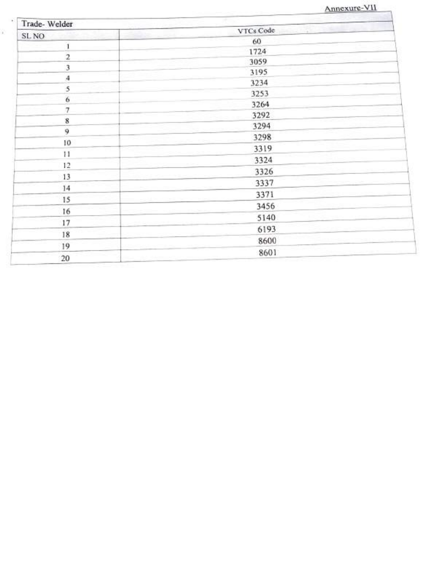|  | Annexure-VII |
|--|--------------|
|  |              |

| Trade-Welder            |           |
|-------------------------|-----------|
| SL NO                   | VTCs Code |
| $\mathbf{1}$            | 60        |
| $\overline{\mathbf{2}}$ | 1724      |
| $\bar{\bf 3}$           | 3059      |
| $\boldsymbol{A}$        | 3195      |
| 5                       | 3234      |
| $\ddot{6}$              | 3253      |
| $\tau$                  | 3264      |
| $\bf 8$                 | 3292      |
| 9                       | 3294      |
|                         | 3298      |
| 10                      | 3319      |
| 11                      | 3324      |
| 12                      | 3326      |
| 13                      | 3337      |
| 14                      | 3371      |
| 15                      | 3456      |
| 16                      |           |
| 17                      | 5140      |
| 18                      | 6193      |
| 19                      | 8600      |
| 20                      | 8601      |

ÿ.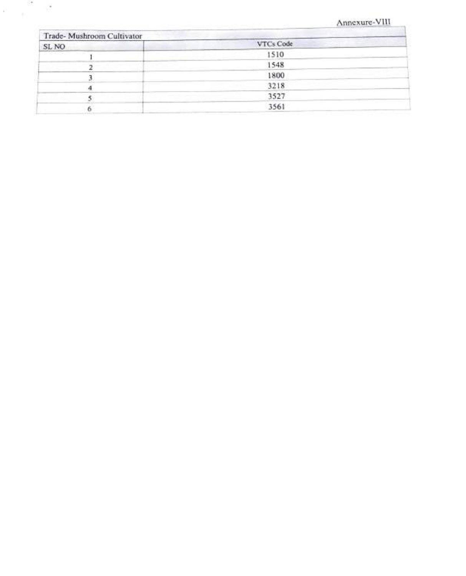#### Annexure-VIII

9

| SL NO      | VTCs Code |  |
|------------|-----------|--|
| 53 S. R. L | 1510      |  |
|            | 1548      |  |
|            | 1800      |  |
|            | 3218      |  |
|            | 3527      |  |
|            | 3561      |  |

S.

 $\mathbb{R}^3$ 

 $\sqrt{2}$ 

C.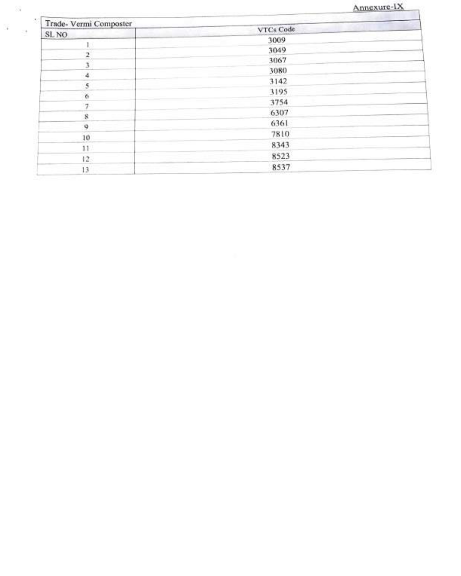# Annexure-IX

| Trade- Vermi Composter |           |  |
|------------------------|-----------|--|
| SL NO                  | VTCs Code |  |
|                        | 3009      |  |
| 2                      | 3049      |  |
|                        | 3067      |  |
|                        | 3080      |  |
| 4                      | 3142      |  |
| 5                      | 3195      |  |
| 6                      | 3754      |  |
|                        | 6307      |  |
| 8                      | 6361      |  |
| 9                      | 7810      |  |
| $\overline{10}$        | 8343      |  |
| 11                     |           |  |
| 12.                    | 8523      |  |
| 13                     | 8537      |  |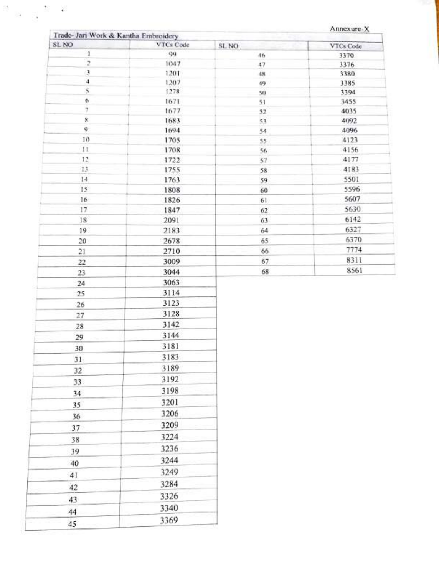Annexure-X

| Trade- Jari Work & Kantha Embroidery<br>SL NO | VTCs Code    | SL NO    | VTCs Code    |
|-----------------------------------------------|--------------|----------|--------------|
| $\mathbf{1}$                                  | 99           | 46       | 3370         |
| $\overline{2}$                                | 1047         | 47       | 3376         |
| 3                                             | 1201         | 48       | 3380         |
| $\frac{1}{2}$                                 | 1207         | 49       | 3385         |
| $\boldsymbol{s}$                              | 1278         | 50       | 3394         |
| 6                                             | 1671         | 51       | 3455         |
| 7                                             | 1677         | 52       | 4035         |
| Ŕ                                             | 1683         | 5.1      | 4092         |
| 9                                             | 1694         | 54       | 4096         |
| 10                                            | 1705         | 55       | 4123         |
| 11                                            | 1708         | 56       | 4156         |
| 12                                            | 1722         | 57       | 4177         |
| 13<br>14                                      | 1755         | 58       | 4183         |
| 15                                            | 1763         | 59       | 5501<br>5596 |
| 16                                            | 1808         | 60       | 5607         |
| 17                                            | 1826<br>1847 | 61<br>62 | 5630         |
| 18                                            | 2091         | 63       | 6142         |
| 19 <sup>°</sup>                               | 2183         | 64       | 6327         |
| 20                                            | 2678         | 65       | 6370         |
| 21                                            | 2710         | 66       | 7774         |
| 22                                            | 3009         | 67       | 8311         |
| 23                                            | 3044         | 68       | 8561         |
| 24                                            | 3063         |          |              |
| 25                                            | 3114         |          |              |
|                                               | 3123         |          |              |
| 26                                            | 3128         |          |              |
| 27                                            | 3142         |          |              |
| 28                                            | 3144         |          |              |
| 29                                            |              |          |              |
| 30                                            | 3181         |          |              |
| 31                                            | 3183         |          |              |
| 32                                            | 3189         |          |              |
| 33                                            | 3192         |          |              |
| 34                                            | 3198         |          |              |
| 35                                            | 3201         |          |              |
| 36                                            | 3206         |          |              |
| 37                                            | 3209         |          |              |
| 38                                            | 3224         |          |              |
|                                               | 3236         |          |              |
| 39                                            | 3244         |          |              |
| 40                                            |              |          |              |
| 41                                            | 3249         |          |              |
| 42                                            | 3284         |          |              |
| 43                                            | 3326         |          |              |
| 44                                            | 3340         |          |              |
| 45                                            | 3369         |          |              |
|                                               |              |          |              |

×,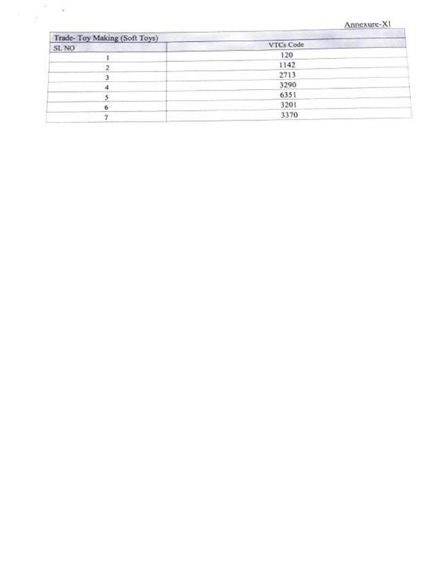#### Annexure-XI

| Trade-Toy Making (Soft Toys) |           |
|------------------------------|-----------|
| <b>STATISTICS</b><br>SL NO   | VTCs Code |
|                              | 120       |
|                              | 1142      |
|                              | 2713      |
|                              | 3290      |
|                              | 6351      |
|                              | 3201      |
|                              |           |
|                              | 3370      |

 $\bar{\gamma}$ 

 $\sim$ 

窮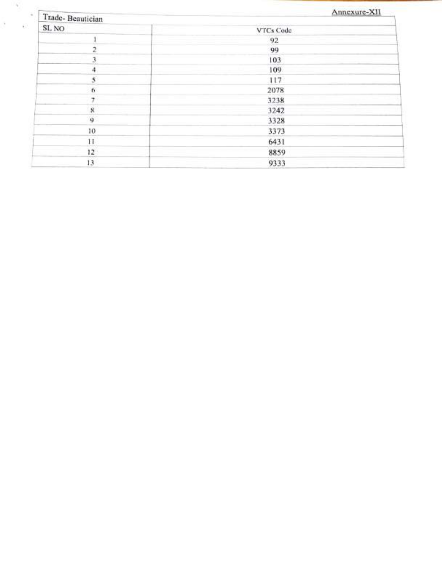| Trade-Beautician   | Annexure-XII                                                                                                                                                                                                                                                                                                                                                                                                                                                                       |  |  |  |  |
|--------------------|------------------------------------------------------------------------------------------------------------------------------------------------------------------------------------------------------------------------------------------------------------------------------------------------------------------------------------------------------------------------------------------------------------------------------------------------------------------------------------|--|--|--|--|
| SL NO              | <b>ISBN 24-8020-006-006</b><br>VTCs Code                                                                                                                                                                                                                                                                                                                                                                                                                                           |  |  |  |  |
|                    | 92                                                                                                                                                                                                                                                                                                                                                                                                                                                                                 |  |  |  |  |
|                    | 99                                                                                                                                                                                                                                                                                                                                                                                                                                                                                 |  |  |  |  |
| J.                 | 103                                                                                                                                                                                                                                                                                                                                                                                                                                                                                |  |  |  |  |
|                    | 109                                                                                                                                                                                                                                                                                                                                                                                                                                                                                |  |  |  |  |
| 5                  | 117                                                                                                                                                                                                                                                                                                                                                                                                                                                                                |  |  |  |  |
| 6                  | 2078                                                                                                                                                                                                                                                                                                                                                                                                                                                                               |  |  |  |  |
| 7                  | $\frac{1}{2} \left( \frac{1}{2} \right) \left( \frac{1}{2} \right) \left( \frac{1}{2} \right) \left( \frac{1}{2} \right) \left( \frac{1}{2} \right) \left( \frac{1}{2} \right) \left( \frac{1}{2} \right) \left( \frac{1}{2} \right) \left( \frac{1}{2} \right) \left( \frac{1}{2} \right) \left( \frac{1}{2} \right) \left( \frac{1}{2} \right) \left( \frac{1}{2} \right) \left( \frac{1}{2} \right) \left( \frac{1}{2} \right) \left( \frac{1}{2} \right) \left( \frac$<br>3238 |  |  |  |  |
| $\dot{\mathbf{x}}$ | 3242                                                                                                                                                                                                                                                                                                                                                                                                                                                                               |  |  |  |  |
| $\bf{Q}$           | 3328                                                                                                                                                                                                                                                                                                                                                                                                                                                                               |  |  |  |  |
| 10                 | 3373                                                                                                                                                                                                                                                                                                                                                                                                                                                                               |  |  |  |  |
| П                  | 6431                                                                                                                                                                                                                                                                                                                                                                                                                                                                               |  |  |  |  |
| 12                 | 8859                                                                                                                                                                                                                                                                                                                                                                                                                                                                               |  |  |  |  |
| 13                 | 9333                                                                                                                                                                                                                                                                                                                                                                                                                                                                               |  |  |  |  |

t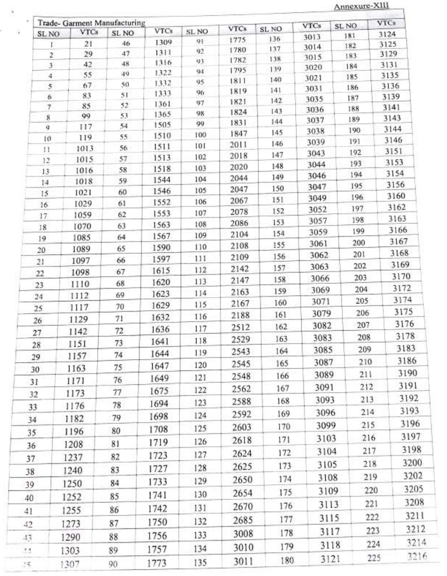Annexure-XIII

 $\frac{1}{2}$ 

| SL NO             | Trade- Garment Manufacturing<br><b>VTCs</b> | SL NO | <b>VTCs</b> | SL NO | <b>VTCs</b>  | SL <sub>NO</sub> | <b>VTCs</b>  | SL NO      | <b>VTCs</b><br>3124 |
|-------------------|---------------------------------------------|-------|-------------|-------|--------------|------------------|--------------|------------|---------------------|
|                   | 21                                          | 46    | 1309        | 91    | 1775         | 136              | 3013         | 181        | 3125                |
| Γ<br>$\mathbf{2}$ | 29                                          | 47    | 1311        | 92    | 1780         | 137              | 3014         | 182        | 3129                |
| 3                 | 42                                          | 48    | 1316        | 93    | 1782         | 138              | 3015         | 183<br>184 | 3131                |
| 4                 | 55                                          | 49    | 1322        | 94    | 1795         | 139              | 3020         | 185        | 3135                |
| 5                 | 67                                          | 50    | 1332        | 95    | 1811         | 140              | 3021<br>3031 | 186        | 3136                |
| 6                 | 83                                          | 51    | 1333        | 96    | 1819         | 141              | 3035         | 187        | 3139                |
| 7                 | 85                                          | 52    | 1361        | 97    | 1821         | 142              | 3036         | 188        | 3141                |
| 8                 | 99                                          | 53    | 1365        | 98    | 1824         | 143<br>144       | 3037         | 189        | 3143                |
| 9                 | 117                                         | 54    | 1505        | 99    | 1831<br>1847 | 145              | 3038         | 190        | 3144                |
| 10.               | 119                                         | 55    | 1510        | 100   | 2011         | 146              | 3039         | 191        | 3146                |
| f1                | 1013                                        | 56    | 1511        | 101   | 2018         | 147              | 3043         | 192        | 3151                |
| 12                | 1015                                        | 57    | 1513        | 102   | 2020         | 148              | 3044         | 193        | 3153                |
| 13                | 1016                                        | 58    | 1518        | 103   | 2044         | 149              | 3046         | 194        | 3154                |
| 14                | 1018                                        | 59    | 1544        | 104   | 2047         | 150              | 3047         | 195        | 3156                |
| 15                | 1021                                        | 60    | 1546        | 105   | 2067         | 151              | 3049         | 196        | 3160                |
| 16                | 1029                                        | 61    | 1552        | 106   | 2078         | 152              | 3052         | 197        | 3162                |
| 17                | 1059                                        | 62    | 1553        | 107   | 2086         | 153              | 3057         | 198        | 3163                |
| 18                | 1070                                        | 63    | 1563        | 108   | 2104         | 154              | 3059         | 199        | 3166                |
| 19                | 1085                                        | 64    | 1567        | 109   | 2108         | 155              | 3061         | 200        | 3167                |
| 20                | 1089                                        | 65    | 1590        | 110   | 2109         | 156              | 3062         | 201        | 3168                |
| 21                | 1097                                        | 66    | 1597        | 111   | 2142         | 157              | 3063         | 202        | 3169                |
| 22                | 1098                                        | 67    | 1615        | 112   |              | 158              | 3066         | 203        | 3170                |
| 23                | 1110                                        | 68    | 1620        | 113   | 2147         | 159              | 3069         | 204        | 3172                |
| 24                | 1112                                        | 69    | 1623        | 114   | 2163         | 160              | 3071         | 205        | 3174                |
| 25.               | 1117                                        | 70    | 1629        | 115   | 2167         |                  | 3079         | 206        | 3175                |
| 26                | 1129                                        | 71    | 1632        | 116   | 2188         | 161              |              | 207        | 3176                |
| 27                | 1142                                        | 72    | 1636        | 117   | 2512         | 162              | 3082         |            | 3178                |
| 28                | 1151                                        | 73    | 1641        | 118   | 2529         | 163              | 3083         | 208        |                     |
| 29                | 1157                                        | 74    | 1644        | 119   | 2543         | 164              | 3085         | 209        | 3183                |
| 30                | 1163                                        | 75    | 1647        | 120   | 2545         | 165              | 3087         | 210        | 3186                |
| 31                | 1171                                        | 76    | 1649        | 121   | 2548         | 166              | 3089         | 211        | 3190                |
|                   | 1173                                        | 77    | 1675        | 122   | 2562         | 167              | 3091         | 212        | 3191                |
| 32                |                                             | 78    | 1694        | 123   | 2588         | 168              | 3093         | 213        | 3192                |
| 33                | 1176                                        |       | 1698        | 124   | 2592         | 169              | 3096         | 214        | 3193                |
| 34                | 1182                                        | 79    |             | 125   | 2603         | 170              | 3099         | 215        | 3196                |
| 35                | 1196                                        | 80    | 1708        |       | 2618         | 171              | 3103         | 216        | 3197                |
| 36                | 1208                                        | 81    | 1719        | 126   |              |                  | 3104         | 217        | 3198                |
| 37                | 1237                                        | 82    | 1723        | 127   | 2624         | 172              |              | 218        | 3200                |
| 38                | 1240                                        | 83    | 1727        | 128   | 2625         | 173              | 3105         |            |                     |
| 39                | 1250                                        | 84    | 1733        | 129   | 2650         | 174              | 3108         | 219        | 3202                |
| 40                | 1252                                        | 85    | 1741        | 130   | 2654         | 175              | 3109         | 220        | 3205                |
|                   |                                             |       | 1742        | 131   | 2670         | 176              | 3113         | 221        | 3208                |
| 41                | 1255                                        | 86    |             |       | 2685         | 177              | 3115         | 222        | 3211                |
| 42                | 1273                                        | 87    | 1750        | 132   |              | 178              | 3117         | 223        | 3212                |
| 43                | 1290                                        | 88    | 1756        | 133   | 3008         |                  |              | 224        | 3214                |
| 44                | 1303                                        | 89    | 1757        | 134   | 3010         | 179              | 3118         |            |                     |
| 35                | 1307                                        | 90    | 1773        | 135   | 3011         | 180              | 3121         | 225        | 3216                |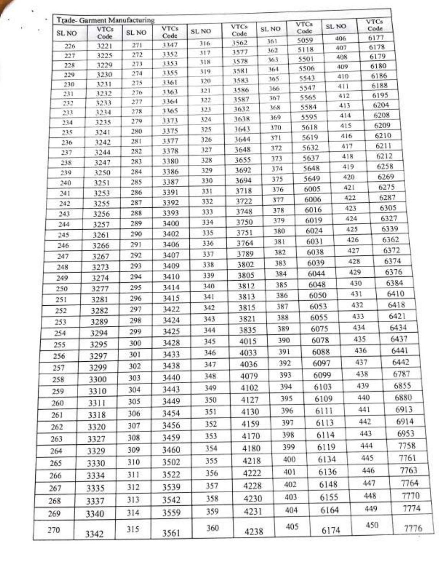| SL NO      | Trade- Garment Manufacturing<br><b>VTCs</b> | SL NO      | <b>VTCs</b>  | SL NO      | <b>VTCs</b><br>Code | SL NO      | <b>VTCs</b><br>Code | SL NO |            | <b>VTCs</b><br>Code |      |  |
|------------|---------------------------------------------|------------|--------------|------------|---------------------|------------|---------------------|-------|------------|---------------------|------|--|
|            | Code                                        |            | Code<br>3347 | 316.       | 3562                | 361        | 5059                |       | 406        | 6177                |      |  |
| 226        | 3221<br>3225                                | 271<br>272 | 3352         | 317        | 3577                | 362        | 5118                |       | 407        | 6178                |      |  |
| 227<br>228 | 3229                                        | 273        | 3353         | 318        | 3578                | 363        | 5501                |       | 408        | 6179<br>6180        |      |  |
| 229        | 3230                                        | 274        | 3355         | 319        | 3581                | 364        | 5506                |       | 409<br>410 | 6186                |      |  |
| 230        | 3231                                        | 275        | 3361         | 320        | 3583                | 365        | 5543                |       | 411        | 6188                |      |  |
| 231        | 3232                                        | 276        | 3363         | 321        | 3586                | 366        | 5547<br>5565        |       | 412        | 6195                |      |  |
| 232        | 3233                                        | 277        | 3364         | 322        | 3587                | 367<br>368 | 5584                |       | 413        | 6204                |      |  |
| 233        | 3234                                        | 278        | 3365         | 323        | 3632                | 369        | 5595                |       | 414        |                     | 6208 |  |
| 234        | 3235                                        | 279        | 3373         | 324<br>325 | 3638<br>3643        | 370        | 5618                |       | 415        | 6209                |      |  |
| 235        | 3241                                        | 280        | 3375         | 326        | 3644                | 371        | 5619                |       | 416        | 6210                |      |  |
| 236        | 3242                                        | 281        | 3377<br>3378 | 327        | 3648                | 372        | 5632                |       | 417        | 6211                |      |  |
| 237        | 3244                                        | 282<br>283 | 3380         | 328        | 3655                | 373        | 5637                |       | 418        | 6212                |      |  |
| 238        | 3247                                        | 284        | 3386         | 329        | 3692                | 374        | 5648                |       | 419        | 6258                |      |  |
| 239        | 3250<br>3251                                | 285        | 3387         | 330        | 3694                | 375        | 5649                |       | 420        | 6269                |      |  |
| 240<br>241 | 3253                                        | 286        | 3391         | 331        | 3718                | 376        | 6005                |       | 421        | 6275                |      |  |
| 242        | 3255                                        | 287        | 3392         | 332        | 3722                | 377        | 6006                |       | 422        |                     | 6287 |  |
| 243        | 3256                                        | 288        | 3393         | 333        | 3748                | 378        | 6016                |       | 423        |                     | 6305 |  |
| 244        | 3257                                        | 289        | 3400         | 334        | 3750                | 379        | 6019                |       | 424        |                     | 6327 |  |
| 245        | 3261                                        | 290        | 3402         | 335        | 3751                | 380        |                     | 6024  | 425        | 6339                |      |  |
| 246        | 3266                                        | 291        | 3406         | 336        | 3764                | 381        |                     | 6031  |            | 426<br>6362         |      |  |
| 247        | 3267                                        | 292        | 3407         | 337        | 3789                | 382        |                     | 6038  | 427        |                     | 6372 |  |
| 248        | 3273                                        | 293        | 3409         | 338        | 3802                | 383        |                     | 6039  | 428        |                     | 6374 |  |
| 249        | 3274                                        | 294        | 3410         | 339        | 3805                | 384        |                     | 6044  | 429        |                     | 6376 |  |
| 250        | 3277                                        | 295        | 3414         | 340        | 3812                | 385        |                     | 6048  | 430        |                     | 6384 |  |
| 251        | 3281                                        | 296        | 3415         | 341        | 3813                | 386        |                     | 6050  | 431        |                     | 6410 |  |
| 252        | 3282                                        | 297        | 3422         | 342        | 3815                | 387        |                     | 6053  | 432        |                     | 6418 |  |
| 253        | 3289                                        | 298        | 3424         | 343        | 3821                | 388        |                     | 6055  | 433        |                     | 6421 |  |
|            | 3294                                        | 299        | 3425         | 344        | 3835                | 389        |                     | 6075  | 434        |                     | 6434 |  |
| 254        |                                             | 300        | 3428         | 345        | 4015                | 390        |                     | 6078  | 435        |                     | 6437 |  |
| 255        | 3295                                        | 301        | 3433         | 346        | 4033                | 391        |                     | 6088  | 436        |                     | 6441 |  |
| 256        | 3297                                        |            | 3438         | 347        | 4036                | 392        |                     | 6097  | 437        |                     | 6442 |  |
| 257        | 3299                                        | 302        |              | 348        | 4079                | 393        |                     | 6099  | 438        |                     | 6787 |  |
| 258        | 3300                                        | 303        | 3440         |            |                     | 394        |                     | 6103  | 439        |                     | 6855 |  |
| 259        | 3310                                        | 304        | 3443         | 349        | 4102                |            |                     |       |            |                     | 6880 |  |
| 260        | 3311                                        | 305        | 3449         | 350        | 4127                | 395        |                     | 6109  |            | 440<br>441          |      |  |
| 261        | 3318                                        | 306        | 3454         | 351        | 4130                | 396        |                     | 6111  |            |                     | 6913 |  |
| 262        | 3320                                        | 307        | 3456         | 352        | 4159                | 397        |                     | 6113  |            | 442                 | 6914 |  |
| 263        | 3327                                        | 308        | 3459         | 353        | 4170                |            | 398                 | 6114  | 443        |                     | 6953 |  |
| 264        | 3329                                        | 309        | 3460         | 354        | 4180                |            | 399                 | 6119  | 444        |                     | 7758 |  |
| 265        | 3330                                        | 310        | 3502         | 355        | 4218                |            | 400                 | 6134  |            | 445                 | 7761 |  |
|            |                                             |            |              | 356        | 4222                |            | 401                 | 6136  |            | 446                 | 7763 |  |
| 266        | 3334                                        | 311        | 3522         |            |                     |            | 402                 | 6148  |            | 447                 | 7764 |  |
| 267        | 3335                                        | 312        | 3539         | 357        | 4228                |            |                     |       |            | 448                 |      |  |
| 268        | 3337                                        | 313        | 3542         | 358        | 4230                |            | 403                 | 6155  |            |                     | 7770 |  |
| 269        | 3340                                        | 314        | 3559         | 359        | 4231                |            | 404                 | 6164  |            | 449                 | 7774 |  |
| 270        | 3342                                        | 315        | 3561         | 360        | 4238                |            | 405                 | 6174  |            | 450                 | 7776 |  |

 $\ddot{\phantom{0}}$